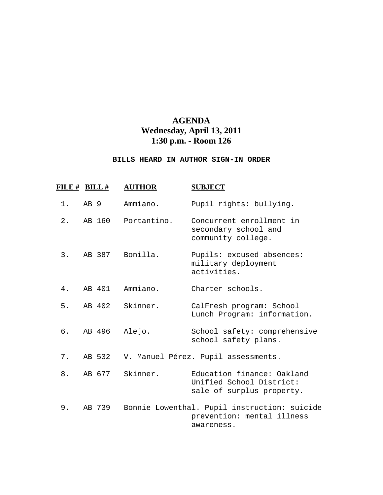## **AGENDA Wednesday, April 13, 2011 1:30 p.m. - Room 126**

## **BILLS HEARD IN AUTHOR SIGN-IN ORDER**

| FILE # BILL # |                 |        | <b>AUTHOR</b> | <b>SUBJECT</b>                                                                           |
|---------------|-----------------|--------|---------------|------------------------------------------------------------------------------------------|
| $1$ .         | AB <sub>9</sub> |        | Ammiano.      | Pupil rights: bullying.                                                                  |
| 2.            |                 | AB 160 | Portantino.   | Concurrent enrollment in<br>secondary school and<br>community college.                   |
| 3.            |                 | AB 387 | Bonilla.      | Pupils: excused absences:<br>military deployment<br>activities.                          |
| 4.            |                 | AB 401 | Ammiano.      | Charter schools.                                                                         |
| 5.            |                 | AB 402 | Skinner.      | CalFresh program: School<br>Lunch Program: information.                                  |
| б.            |                 | AB 496 | Alejo.        | School safety: comprehensive<br>school safety plans.                                     |
| 7.            |                 | AB 532 |               | V. Manuel Pérez. Pupil assessments.                                                      |
| 8.            |                 | AB 677 | Skinner.      | Education finance: Oakland<br>Unified School District:<br>sale of surplus property.      |
| 9.            |                 | AB 739 |               | Bonnie Lowenthal. Pupil instruction: suicide<br>prevention: mental illness<br>awareness. |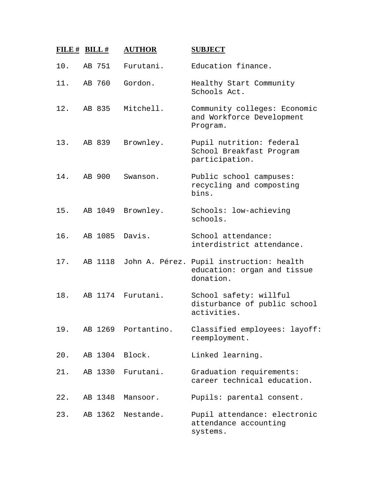| FILE $#$ BILL $#$ |         | <b>AUTHOR</b>       | <b>SUBJECT</b>                                                                       |
|-------------------|---------|---------------------|--------------------------------------------------------------------------------------|
| 10.               | AB 751  | Furutani.           | Education finance.                                                                   |
| 11.               | AB 760  | Gordon.             | Healthy Start Community<br>Schools Act.                                              |
| 12.               | AB 835  | Mitchell.           | Community colleges: Economic<br>and Workforce Development<br>Program.                |
| 13.               | AB 839  | Brownley.           | Pupil nutrition: federal<br>School Breakfast Program<br>participation.               |
| 14.               | AB 900  | Swanson.            | Public school campuses:<br>recycling and composting<br>bins.                         |
| 15.               | AB 1049 | Brownley.           | Schools: low-achieving<br>schools.                                                   |
| 16.               | AB 1085 | Davis.              | School attendance:<br>interdistrict attendance.                                      |
| 17.               | AB 1118 |                     | John A. Pérez. Pupil instruction: health<br>education: organ and tissue<br>donation. |
| 18.               |         | AB 1174 Furutani.   | School safety: willful<br>disturbance of public school<br>activities.                |
| 19.               |         | AB 1269 Portantino. | Classified employees: layoff:<br>reemployment.                                       |
| 20.               | AB 1304 | Block.              | Linked learning.                                                                     |
| 21.               | AB 1330 | Furutani.           | Graduation requirements:<br>career technical education.                              |
| 22.               | AB 1348 | Mansoor.            | Pupils: parental consent.                                                            |
| 23.               | AB 1362 | Nestande.           | Pupil attendance: electronic<br>attendance accounting<br>systems.                    |